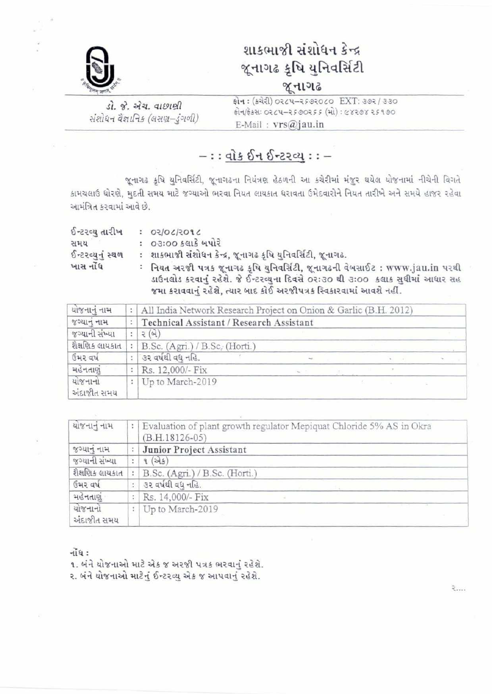

## શાકભાજી સંશોધન કેન્દ્ર **જૂનાગઢ કૃષિ યુનિવર્સિટી** જૂનાગઢ

ડો. જે. એચ. વાછાણી संशोधन वैज्ञानिक (बसप्रा-इंगणी) झेन: (क्येरी) 0264-2582060 EXT: 382/330 E-Mail:  $vrs@jau.in$ 

### $-:$   $\frac{dis \, 64 \, 62201 : -}{$

જૂનાગઢ કૃષિ યુનિવર્સિટી, જૂનાગઢના નિયંત્રણ હેઠળની આ કચેરીમાં મંજુર થયેલ યોજનામાં નીચેની વિગતે કામચલાઉ ધોરણે, મુદતી સમય માટે જગ્યાઓ ભરવા નિયત લાયકાત ધરાવતા ઉમેદવારોને નિયત તારીખે અને સમયે હાજર રહેવા આમંત્રિત કરવામાં આવે છે.

| ઈન્ટરવ્ય તારીખ                | $5.805150150$ :                                                                                                                                                                                                                         |
|-------------------------------|-----------------------------------------------------------------------------------------------------------------------------------------------------------------------------------------------------------------------------------------|
| સમય                           | : ૦૩ઃ૦૦ કલાકે બપોરે                                                                                                                                                                                                                     |
| <b><i>S-22</i></b> व्यमं स्थण | : શાકભાજી સંશોધન કેન્દ્ર, જૂનાગઢ કૃષિ યુનિવર્સિટી, જૂનાગઢ.                                                                                                                                                                              |
| ખાસ નોંધ                      | : નિયત અરજી પત્રક જૂનાગઢ કૃષિ યુનિવર્સિટી, જૂનાગઢની વેબસાઈટ : www.jau.in પરથી<br>ડાઉનલોડ કરવાનું રહેશે. જે ઈન્ટરવ્યુના દિવસે ૦રઃ૩૦ થી ૩ઃ૦૦ કલાક સુધીમાં આધાર સહ<br>જમા કરાવવાનું રહેશે, ત્યાર બાદ કોઈ અરજીપત્રક સ્વિકારવામાં આવશે નહીં. |

| યોજનાનું નામ           | All India Network Research Project on Onion & Garlic (B.H. 2012) |  |  |  |  |  |  |  |
|------------------------|------------------------------------------------------------------|--|--|--|--|--|--|--|
| જગ્યાનું નામ           | Technical Assistant / Research Assistant                         |  |  |  |  |  |  |  |
| જગ્યાની સંખ્યા         | 2(9)                                                             |  |  |  |  |  |  |  |
| શૈક્ષણિક લાયકાત        | B.Sc. (Agri.) / B.Sc. (Horti.)                                   |  |  |  |  |  |  |  |
| ઉમર વર્ષ               | ં૩૨ વર્ષથી વધ નહિ.                                               |  |  |  |  |  |  |  |
| મહેનતાણં               | Rs. 12,000/- Fix                                                 |  |  |  |  |  |  |  |
| યોજનાનો<br>અંદાજીત સમય | Up to March-2019                                                 |  |  |  |  |  |  |  |

| યોજનાનું નામ           | $\mathcal{L}$ | Evaluation of plant growth regulator Mepiquat Chloride 5% AS in Okra<br>$(B.H.18126-05)$ |
|------------------------|---------------|------------------------------------------------------------------------------------------|
| જગ્યાનું નામ           |               | Junior Project Assistant                                                                 |
| જગ્યાની સંખ્યા         | ÷.            | 9(x)                                                                                     |
| શૈક્ષણિક લાયકાત        |               | B.Sc. (Agri.) / B.Sc. (Horti.)                                                           |
| ઉમર વર્ષ               | ŧ.            | ૩૨ વર્ષથી વધુ નહિ.                                                                       |
| મહેનતાણું              | t             | Rs. 14,000/- Fix                                                                         |
| યોજનાનો<br>અંદાજીત સમય | ŧ.            | Up to March-2019                                                                         |

 $\tilde{\mathcal{H}}$ 

૧. બંને યોજનાઓ માટે એક જ અરજી પત્રક ભરવાનું રહેશે. ર. બંને યોજનાઓ માટેનું ઈન્ટરવ્યુ એક જ આપવાનું રહેશે.

2. . . .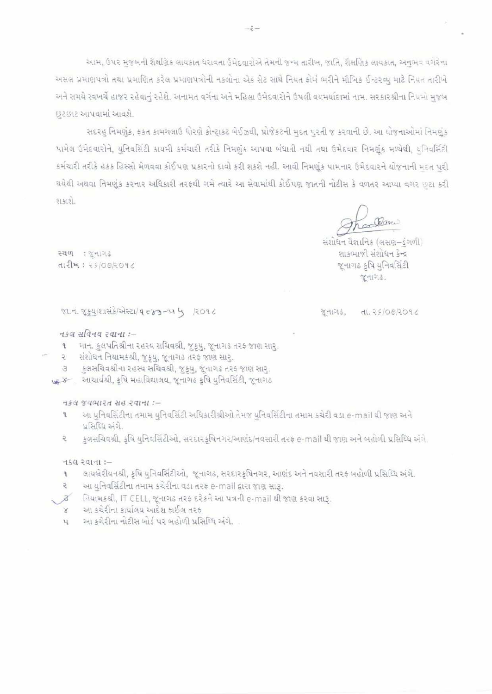આમ, ઉપર મુજબની શૈક્ષણિક લાયકાત ધરાવતા ઉમેદવારોએ તેમની જન્મ તારીખ, જાતિ, શૈક્ષણિક લાયકાત, અનુભવ વગેરેના અસલ પ્રમાણપત્રો તથા પ્રમાણિત કરેલ પ્રમાણપત્રોની નકલોના એક સેટ સાથે નિયત કોર્મ ભરીને મૌખિક ઈન્ટરવ્યુ માટે નિયત તારીખે અને સમયે સ્વખર્ચે હાજર રહેવાનું રહેશે. અનામત વર્ગના અને મહિલા ઉમેદવારોને ઉપલી વયમર્યાદામાં નામ. સરકારશ્રીના નિયમો મુજબ છટછાટ આપવામાં આવશે.

સદરહુ નિમણુંક, ફકત કામચલાઉ ધોરણે કોન્ટ્રાકટ બેઈઝથી, પ્રોજેકટની મુદત પુરતી જ કરવાની છે. આ યોજનાઓમાં નિમણુંક પામેલ ઉમેદવારોને, યુનિવર્સિટી કાયમી કર્મચારી તરીકે નિમણુંક આપવા બંધાતી નથી તથા ઉમેદવાર નિમણુંક મળ્યેથી, યનિવર્સિટી કર્મચારી તરીકે હકક હિસ્સો મેળવવા કોઈપણ પ્રકારનો દાવો કરી શકશે નહી. આવી નિમણુંક પામનાર ઉમેદવારને યોજનાની મદત પરી થયેથી અથવા નિમણુંક કરનાર અધિકારી તરફથી ગમે ત્યારે આ સેવામાંથી કોઈપણ જાતની નોટીસ કે વળતર આપ્યા વગર છુટા કરી  $21.419.$ 

Rani

સંશોધન વૈજ્ઞાનિક (લસણ–ડંગળી) શાકભાજી સંશોધન કેન્દ્ર જુનાગઢ કૃષિ યુનિવર્સિટી જૂનાગઢ.

स्थण: प्रनागढ  $d12M:25/00/2096$ 

#### %1. 7. 254/211 213/2221/ 9 0 23 - 21 4 /2096

#### नडव सविनय २वाना :-

માન. કુલપતિશ્રીના રહસ્ય સચિવશ્રી, જુક્યુ, જૂનાગઢ તરફ જાણ સાર.  $\mathbf{q}$ 

- સંશોધન નિયામકશ્રી, જુકૂય, જૂનાગઢ તરફ જાણ સાર. ₹
- કુલસચિવશ્રીના રહસ્ય સચિવશ્રી, જુક્યુ, જૂનાગઢ તરફ જાણ સાર્. 3
- 148 अध्यार्थश्री, इषि भहाविद्यालय, कुनागढ इषि युनिवर्सिटी, कुनागढ

 $-154$  જયભારત સહ રવાના :-

- આ યુનિવર્સિટીના તમામ યુનિવર્સિટી અધિકારીશ્રીઓ તેમજ યુનિવર્સિટીના તમામ કચેરી વડા e-mail થી જાણ અને પ્રસિધ્ધિ અંગે.
- કુલસચિવશ્રી, કૃષિ યુનિવર્સિટીઓ, સરદારકૃષિનગર/આણંદ/નવસારી તરફ e-mail થી જાણ અને બહોળી પ્રસિધ્ધિ અંગે. 5

#### $-t$ કલ રવાના:-

- લાયબ્રેરીયનશ્રી, કૃષિ યુનિવર્સિટીઓ, જૂનાગઢ, સરદારકૃષિનગર, આણંદ અને નવસારી તરફ બહોળી પ્રસિધ્ધિ અંગે.  $\mathbf{f}$
- આ યુનિવર્સિટીના તમામ કચેરીના વડા તરફ e-mail દ્વારા જાણ સારૂ.  $\overline{z}$
- િનિયામકશ્રી, IT CELL, જૂનાગઢ તરફ દરેકને આ પત્રની e-mail થી જાણ કરવા સારૂ.  $\mathcal{B}$
- આ કચેરીના કાર્યાલય આદેશ કાઈલ તરક
- આ કચેરીના નોટીસ બોર્ડ પર બહોળી પ્રસિધ્ધિ અંગે.  $\mathcal{V}$

 $X11316$ ,  $dL.25/00/2096$